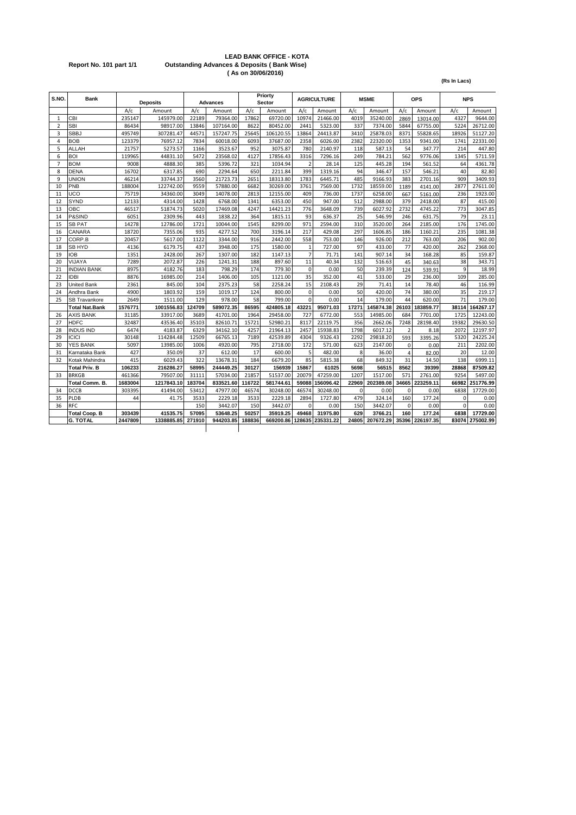#### **LEAD BANK OFFICE - KOTA Report No. 101 part 1/1 Outstanding Advances & Deposits ( Bank Wise) ( As on 30/06/2016)**

|                |                       |         |                 |        |                 |        |                   |                |                    |             |             |                |            | (Rs In Lacs) |            |
|----------------|-----------------------|---------|-----------------|--------|-----------------|--------|-------------------|----------------|--------------------|-------------|-------------|----------------|------------|--------------|------------|
| S.NO.          | <b>Bank</b>           |         | <b>Deposits</b> |        | <b>Advances</b> |        | Priorty<br>Sector |                | <b>AGRICULTURE</b> |             | <b>MSME</b> |                | <b>OPS</b> |              | <b>NPS</b> |
|                |                       | A/c     | Amount          | A/c    | Amount          | A/c    | Amount            | A/c            | Amount             | A/c         | Amount      | A/c            | Amount     | A/c          | Amount     |
| $\mathbf{1}$   | <b>CBI</b>            | 235147  | 145979.00       | 22189  | 79364.00        | 17862  | 69720.00          | 10974          | 21466.00           | 4019        | 35240.00    | 2869           | 13014.00   | 4327         | 9644.00    |
| $\overline{2}$ | <b>SBI</b>            | 86434   | 98917.00        | 13846  | 107164.00       | 8622   | 80452.00          | 2441           | 5323.00            | 337         | 7374.00     | 5844           | 67755.00   | 5224         | 26712.00   |
| 3              | <b>SBBJ</b>           | 495749  | 307281.47       | 44571  | 157247.75       | 25645  | 106120.55         | 13864          | 24413.87           | 3410        | 25878.03    | 8371           | 55828.65   | 18926        | 51127.20   |
| 4              | <b>BOB</b>            | 123379  | 76957.12        | 7834   | 60018.00        | 6093   | 37687.00          | 2358           | 6026.00            | 2382        | 22320.00    | 1353           | 9341.00    | 1741         | 22331.00   |
| 5              | ALLAH                 | 21757   | 5273.57         | 1166   | 3523.67         | 952    | 3075.87           | 780            | 2140.97            | 118         | 587.13      | 54             | 347.77     | 214          | 447.80     |
| 6              | <b>BOI</b>            | 119965  | 44831.10        | 5472   | 23568.02        | 4127   | 17856.43          | 3316           | 7296.16            | 249         | 784.21      | 562            | 9776.06    | 1345         | 5711.59    |
| $\overline{7}$ | <b>BOM</b>            | 9008    | 4888.30         | 385    | 5396.72         | 321    | 1034.94           |                | 28.14              | 125         | 445.28      | 194            | 561.52     | 64           | 4361.78    |
| 8              | <b>DENA</b>           | 16702   | 6317.85         | 690    | 2294.64         | 650    | 2211.84           | 399            | 1319.16            | 94          | 346.47      | 157            | 546.21     | 40           | 82.80      |
| 9              | <b>UNION</b>          | 46214   | 33744.37        | 3560   | 21723.73        | 2651   | 18313.80          | 1783           | 6445.71            | 485         | 9166.93     | 383            | 2701.16    | 909          | 3409.93    |
| 10             | PNB                   | 188004  | 122742.00       | 9559   | 57880.00        | 6682   | 30269.00          | 3761           | 7569.00            | 1732        | 18559.00    | 1189           | 4141.00    | 2877         | 27611.00   |
| 11             | UCO                   | 75719   | 34360.00        | 3049   | 14078.00        | 2813   | 12155.00          | 409            | 736.00             | 1737        | 6258.00     | 667            | 5161.00    | 236          | 1923.00    |
| 12             | SYND                  | 12133   | 4314.00         | 1428   | 6768.00         | 1341   | 6353.00           | 450            | 947.00             | 512         | 2988.00     | 379            | 2418.00    | 87           | 415.00     |
| 13             | OBC                   | 46517   | 51874.73        | 5020   | 17469.08        | 4247   | 14421.23          | 776            | 3648.09            | 739         | 6027.92     | 2732           | 4745.22    | 773          | 3047.85    |
| 14             | P&SIND                | 6051    | 2309.96         | 443    | 1838.22         | 364    | 1815.11           | 93             | 636.37             | 25          | 546.99      | 246            | 631.75     | 79           | 23.11      |
| 15             | <b>SB PAT</b>         | 14278   | 12786.00        | 1721   | 10044.00        | 1545   | 8299.00           | 971            | 2594.00            | 310         | 3520.00     | 264            | 2185.00    | 176          | 1745.00    |
| 16             | CANARA                | 18720   | 7355.06         | 935    | 4277.52         | 700    | 3196.14           | 217            | 429.08             | 297         | 1606.85     | 186            | 1160.21    | 235          | 1081.38    |
| 17             | CORP.B                | 20457   | 5617.00         | 1122   | 3344.00         | 916    | 2442.00           | 558            | 753.00             | 146         | 926.00      | 212            | 763.00     | 206          | 902.00     |
| 18             | SB HYD                | 4136    | 6179.75         | 437    | 3948.00         | 175    | 1580.00           | $\mathbf{1}$   | 727.00             | 97          | 433.00      | 77             | 420.00     | 262          | 2368.00    |
| 19             | <b>IOB</b>            | 1351    | 2428.00         | 267    | 1307.00         | 182    | 1147.13           | $\overline{7}$ | 71.71              | 141         | 907.14      | 34             | 168.28     | 85           | 159.87     |
| 20             | VIJAYA                | 7289    | 2072.87         | 226    | 1241.31         | 188    | 897.60            | 11             | 40.34              | 132         | 516.63      | 45             | 340.63     | 38           | 343.71     |
| 21             | <b>INDIAN BANK</b>    | 8975    | 4182.76         | 183    | 798.29          | 174    | 779.30            | $\Omega$       | 0.00               | 50          | 239.39      | 124            | 539.91     | $\mathbf{q}$ | 18.99      |
| 22             | <b>IDBI</b>           | 8876    | 16985.00        | 214    | 1406.00         | 105    | 1121.00           | 35             | 352.00             | 41          | 533.00      | 29             | 236.00     | 109          | 285.00     |
| 23             | United Bank           | 2361    | 845.00          | 104    | 2375.23         | 58     | 2258.24           | 15             | 2108.43            | 29          | 71.41       | 14             | 78.40      | 46           | 116.99     |
| 24             | Andhra Bank           | 4900    | 1803.92         | 159    | 1019.17         | 124    | 800.00            | $\mathbf 0$    | 0.00               | 50          | 420.00      | 74             | 380.00     | 35           | 219.17     |
| 25             | <b>SB Travankore</b>  | 2649    | 1511.00         | 129    | 978.00          | 58     | 799.00            | $\Omega$       | 0.00               | 14          | 179.00      | 44             | 620.00     | 71           | 179.00     |
|                | <b>Total Nat.Bank</b> | 1576771 | 1001556.83      | 124709 | 589072.35       | 86595  | 424805.18         | 43221          | 95071.03           | 17271       | 145874.38   | 26103          | 183859.77  | 38114        | 164267.17  |
| 26             | <b>AXIS BANK</b>      | 31185   | 33917.00        | 3689   | 41701.00        | 1964   | 29458.00          | 727            | 6772.00            | 553         | 14985.00    | 684            | 7701.00    | 1725         | 12243.00   |
| 27             | <b>HDFC</b>           | 32487   | 43536.40        | 35103  | 82610.71        | 15721  | 52980.21          | 8117           | 22119.75           | 356         | 2662.06     | 7248           | 28198.40   | 19382        | 29630.50   |
| 28             | <b>INDUS IND</b>      | 6474    | 4183.87         | 6329   | 34162.10        | 4257   | 21964.13          | 2457           | 15938.83           | 1798        | 6017.12     | $\overline{2}$ | 8.18       | 2072         | 12197.97   |
| 29             | <b>ICICI</b>          | 30148   | 114284.48       | 12509  | 66765.13        | 7189   | 42539.89          | 4304           | 9326.43            | 2292        | 29818.20    | 593            | 3395.26    | 5320         | 24225.24   |
| 30             | <b>YES BANK</b>       | 5097    | 13985.00        | 1006   | 4920.00         | 795    | 2718.00           | 172            | 571.00             | 623         | 2147.00     | $\Omega$       | 0.00       | 211          | 2202.00    |
| 31             | Karnataka Bank        | 427     | 350.09          | 37     | 612.00          | 17     | 600.00            | 5              | 482.00             | 8           | 36.00       | $\overline{4}$ | 82.00      | 20           | 12.00      |
| 32             | Kotak Mahindra        | 415     | 6029.43         | 322    | 13678.31        | 184    | 6679.20           | 85             | 5815.38            | 68          | 849.32      | 31             | 14.50      | 138          | 6999.11    |
|                | <b>Total Priv. B</b>  | 106233  | 216286.27       | 58995  | 244449.25       | 30127  | 156939            | 15867          | 61025              | 5698        | 56515       | 8562           | 39399      | 28868        | 87509.82   |
| 33             | <b>BRKGB</b>          | 461366  | 79507.00        | 31111  | 57034.00        | 21857  | 51537.00          | 20079          | 47259.00           | 1207        | 1517.00     | 571            | 2761.00    | 9254         | 5497.00    |
|                | Total Comm. B.        | 1683004 | 1217843.10      | 183704 | 833521.60       | 116722 | 581744.61         | 59088          | 156096.42          | 22969       | 202389.08   | 34665          | 223259.11  | 66982        | 251776.99  |
| 34             | <b>DCCB</b>           | 303395  | 41494.00        | 53412  | 47977.00        | 46574  | 30248.00          | 46574          | 30248.00           | $\mathbf 0$ | 0.00        | $\Omega$       | 0.00       | 6838         | 17729.00   |
| 35             | PLDB                  | 44      | 41.75           | 3533   | 2229.18         | 3533   | 2229.18           | 2894           | 1727.80            | 479         | 324.14      | 160            | 177.24     | 0            | 0.00       |
| 36             | <b>RFC</b>            |         |                 | 150    | 3442.07         | 150    | 3442.07           | $\Omega$       | 0.00               | 150         | 3442.07     | $\Omega$       | 0.00       | $\Omega$     | 0.00       |
|                | <b>Total Coop. B</b>  | 303439  | 41535.75        | 57095  | 53648.25        | 50257  | 35919.25          | 49468          | 31975.80           | 629         | 3766.21     | 160            | 177.24     | 6838         | 17729.00   |
|                | <b>G. TOTAL</b>       | 2447809 | 1338885.85      | 271910 | 944203.85       | 188836 | 669200.86         | 128635         | 235331.22          | 24805       | 207672.29   | 35396          | 226197.35  | 83074        | 275002.99  |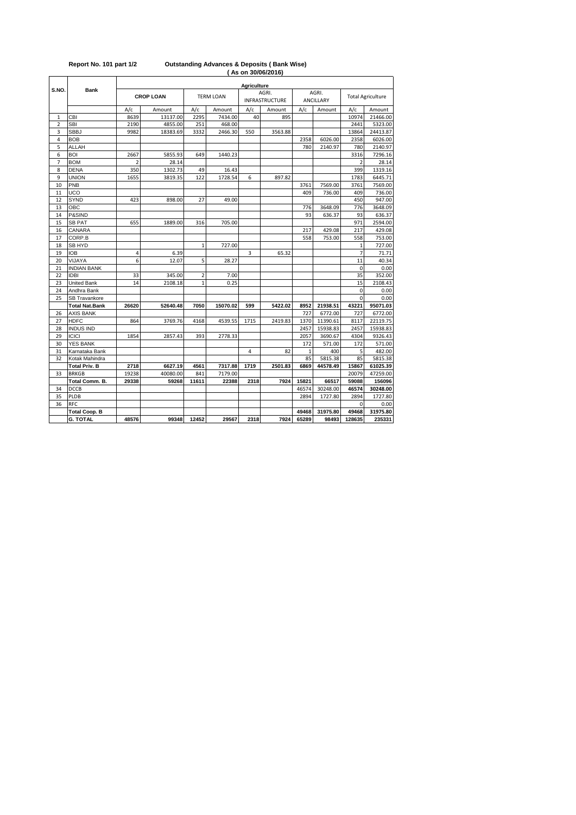|                |                      |                |                  |                |                  | <b>Agriculture</b> |                       |                |           |                          |          |  |  |  |
|----------------|----------------------|----------------|------------------|----------------|------------------|--------------------|-----------------------|----------------|-----------|--------------------------|----------|--|--|--|
| S.NO.          | <b>Bank</b>          |                | <b>CROP LOAN</b> |                | <b>TERM LOAN</b> |                    | AGRI.                 |                | AGRI.     | <b>Total Agriculture</b> |          |  |  |  |
|                |                      |                |                  |                |                  |                    | <b>INFRASTRUCTURE</b> |                | ANCILLARY |                          |          |  |  |  |
|                |                      | A/c            | Amount           | A/c            | Amount           | A/c                | Amount                | A/c            | Amount    | A/c                      | Amount   |  |  |  |
| 1              | CBI                  | 8639           | 13137.00         | 2295           | 7434.00          | 40                 | 895                   |                |           | 10974                    | 21466.00 |  |  |  |
| $\overline{2}$ | <b>SBI</b>           | 2190           | 4855.00          | 251            | 468.00           |                    |                       |                |           | 2441                     | 5323.00  |  |  |  |
| 3              | <b>SBBJ</b>          | 9982           | 18383.69         | 3332           | 2466.30          | 550                | 3563.88               |                |           | 13864                    | 24413.87 |  |  |  |
| 4              | <b>BOB</b>           |                |                  |                |                  |                    |                       | 2358           | 6026.00   | 2358                     | 6026.00  |  |  |  |
| 5              | ALLAH                |                |                  |                |                  |                    |                       | 780            | 2140.97   | 780                      | 2140.97  |  |  |  |
| 6              | BOI                  | 2667           | 5855.93          | 649            | 1440.23          |                    |                       |                |           | 3316                     | 7296.16  |  |  |  |
| $\overline{7}$ | <b>BOM</b>           | $\overline{2}$ | 28.14            |                |                  |                    |                       |                |           | $\overline{2}$           | 28.14    |  |  |  |
| 8              | <b>DENA</b>          | 350            | 1302.73          | 49             | 16.43            |                    |                       |                |           | 399                      | 1319.16  |  |  |  |
| 9              | <b>UNION</b>         | 1655           | 3819.35          | 122            | 1728.54          | 6                  | 897.82                |                |           | 1783                     | 6445.71  |  |  |  |
| 10             | PNB                  |                |                  |                |                  |                    |                       | 3761           | 7569.00   | 3761                     | 7569.00  |  |  |  |
| 11             | UCO                  |                |                  |                |                  |                    |                       | 409            | 736.00    | 409                      | 736.00   |  |  |  |
| 12             | <b>SYND</b>          | 423            | 898.00           | 27             | 49.00            |                    |                       |                |           | 450                      | 947.00   |  |  |  |
| 13             | OBC                  |                |                  |                |                  |                    |                       | 776            | 3648.09   | 776                      | 3648.09  |  |  |  |
| 14             | P&SIND               |                |                  |                |                  |                    |                       | 93             | 636.37    | 93                       | 636.37   |  |  |  |
| 15             | <b>SB PAT</b>        | 655            | 1889.00          | 316            | 705.00           |                    |                       |                |           | 971                      | 2594.00  |  |  |  |
| 16             | CANARA               |                |                  |                |                  |                    |                       | 217            | 429.08    | 217                      | 429.08   |  |  |  |
| 17             | CORP.B               |                |                  |                |                  |                    |                       | 558            | 753.00    | 558                      | 753.00   |  |  |  |
| 18             | <b>SB HYD</b>        |                |                  | $\mathbf{1}$   | 727.00           |                    |                       |                |           | $\mathbf{1}$             | 727.00   |  |  |  |
| 19             | IOB                  | 4              | 6.39             |                |                  | 3                  | 65.32                 |                |           | 7                        | 71.71    |  |  |  |
| 20             | VIJAYA               | 6              | 12.07            | 5              | 28.27            |                    |                       |                |           | 11                       | 40.34    |  |  |  |
| 21             | <b>INDIAN BANK</b>   |                |                  |                |                  |                    |                       |                |           | $\mathbf 0$              | 0.00     |  |  |  |
| 22             | <b>IDBI</b>          | 33             | 345.00           | $\overline{2}$ | 7.00             |                    |                       |                |           | 35                       | 352.00   |  |  |  |
| 23             | <b>United Bank</b>   | 14             | 2108.18          | $\mathbf{1}$   | 0.25             |                    |                       |                |           | 15                       | 2108.43  |  |  |  |
| 24             | Andhra Bank          |                |                  |                |                  |                    |                       |                |           | $\Omega$                 | 0.00     |  |  |  |
| 25             | SB Travankore        |                |                  |                |                  |                    |                       |                |           | $\Omega$                 | 0.00     |  |  |  |
|                | Total Nat.Bank       | 26620          | 52640.48         | 7050           | 15070.02         | 599                | 5422.02               | 8952           | 21938.51  | 43221                    | 95071.03 |  |  |  |
| 26             | <b>AXIS BANK</b>     |                |                  |                |                  |                    |                       | 727            | 6772.00   | 727                      | 6772.00  |  |  |  |
| 27             | <b>HDFC</b>          | 864            | 3769.76          | 4168           | 4539.55          | 1715               | 2419.83               | 1370           | 11390.61  | 8117                     | 22119.75 |  |  |  |
| 28             | <b>INDUS IND</b>     |                |                  |                |                  |                    |                       | 2457           | 15938.83  | 2457                     | 15938.83 |  |  |  |
| 29             | <b>ICICI</b>         | 1854           | 2857.43          | 393            | 2778.33          |                    |                       | 2057           | 3690.67   | 4304                     | 9326.43  |  |  |  |
| 30             | <b>YES BANK</b>      |                |                  |                |                  |                    |                       | 172            | 571.00    | 172                      | 571.00   |  |  |  |
| 31             | Karnataka Bank       |                |                  |                |                  | 4                  | 82                    | $\overline{1}$ | 400       | 5                        | 482.00   |  |  |  |
| 32             | Kotak Mahindra       |                |                  |                |                  |                    |                       | 85             | 5815.38   | 85                       | 5815.38  |  |  |  |
|                | <b>Total Priv. B</b> | 2718           | 6627.19          | 4561           | 7317.88          | 1719               | 2501.83               | 6869           | 44578.49  | 15867                    | 61025.39 |  |  |  |
| 33             | <b>BRKGB</b>         | 19238          | 40080.00         | 841            | 7179.00          |                    |                       |                |           | 20079                    | 47259.00 |  |  |  |
|                | Total Comm. B.       | 29338          | 59268            | 11611          | 22388            | 2318               | 7924                  | 15821          | 66517     | 59088                    | 156096   |  |  |  |
| 34             | DCCB                 |                |                  |                |                  |                    |                       | 46574          | 30248.00  | 46574                    | 30248.00 |  |  |  |
| 35             | PLDB                 |                |                  |                |                  |                    |                       | 2894           | 1727.80   | 2894                     | 1727.80  |  |  |  |
| 36             | RFC                  |                |                  |                |                  |                    |                       |                |           | $\Omega$                 | 0.00     |  |  |  |
|                | <b>Total Coop. B</b> |                |                  |                |                  |                    |                       | 49468          | 31975.80  | 49468                    | 31975.80 |  |  |  |
|                | <b>G. TOTAL</b>      | 48576          | 99348            | 12452          | 29567            | 2318               | 7924                  | 65289          | 98493     | 128635                   | 235331   |  |  |  |

## **( As on 30/06/2016) Report No. 101 part 1/2 Outstanding Advances & Deposits ( Bank Wise)**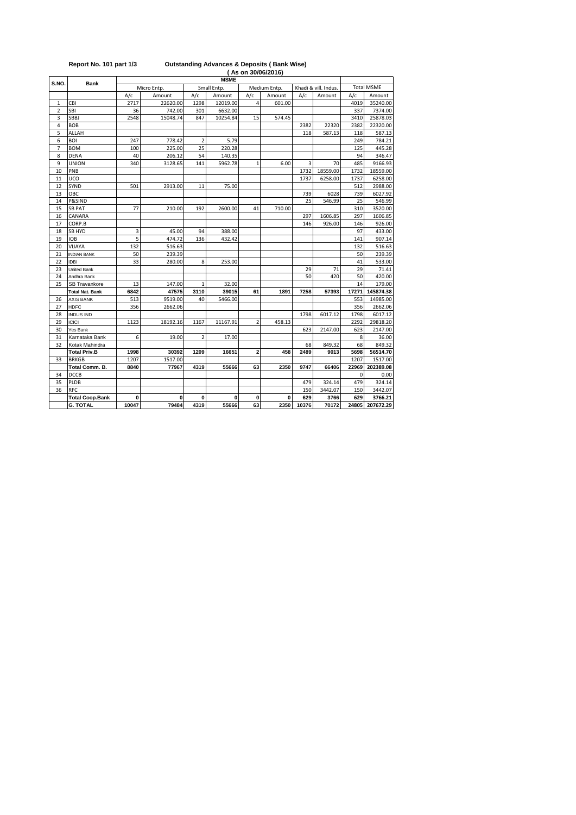|       |                        |       |             |                |             |                         | (As on 30/06/2016) |       |                      |             |                   |
|-------|------------------------|-------|-------------|----------------|-------------|-------------------------|--------------------|-------|----------------------|-------------|-------------------|
| S.NO. | <b>Bank</b>            |       |             |                | <b>MSME</b> |                         |                    |       |                      |             |                   |
|       |                        |       | Micro Entp. |                | Small Entp. |                         | Medium Entp.       |       | Khadi & vill. Indus. |             | <b>Total MSME</b> |
|       |                        | A/c   | Amount      | A/c            | Amount      | A/c                     | Amount             | A/c   | Amount               | A/c         | Amount            |
| 1     | CBI                    | 2717  | 22620.00    | 1298           | 12019.00    | 4                       | 601.00             |       |                      | 4019        | 35240.00          |
| 2     | SBI                    | 36    | 742.00      | 301            | 6632.00     |                         |                    |       |                      | 337         | 7374.00           |
| 3     | SBBJ                   | 2548  | 15048.74    | 847            | 10254.84    | 15                      | 574.45             |       |                      | 3410        | 25878.03          |
| 4     | <b>BOB</b>             |       |             |                |             |                         |                    | 2382  | 22320                | 2382        | 22320.00          |
| 5     | <b>ALLAH</b>           |       |             |                |             |                         |                    | 118   | 587.13               | 118         | 587.13            |
| 6     | BOI                    | 247   | 778.42      | $\overline{2}$ | 5.79        |                         |                    |       |                      | 249         | 784.21            |
| 7     | <b>BOM</b>             | 100   | 225.00      | 25             | 220.28      |                         |                    |       |                      | 125         | 445.28            |
| 8     | DENA                   | 40    | 206.12      | 54             | 140.35      |                         |                    |       |                      | 94          | 346.47            |
| 9     | UNION                  | 340   | 3128.65     | 141            | 5962.78     | $\mathbf{1}$            | 6.00               | 3     | 70                   | 485         | 9166.93           |
| 10    | PNB                    |       |             |                |             |                         |                    | 1732  | 18559.00             | 1732        | 18559.00          |
| 11    | UCO                    |       |             |                |             |                         |                    | 1737  | 6258.00              | 1737        | 6258.00           |
| 12    | SYND                   | 501   | 2913.00     | 11             | 75.00       |                         |                    |       |                      | 512         | 2988.00           |
| 13    | овс                    |       |             |                |             |                         |                    | 739   | 6028                 | 739         | 6027.92           |
| 14    | P&SIND                 |       |             |                |             |                         |                    | 25    | 546.99               | 25          | 546.99            |
| 15    | <b>SB PAT</b>          | 77    | 210.00      | 192            | 2600.00     | 41                      | 710.00             |       |                      | 310         | 3520.00           |
| 16    | CANARA                 |       |             |                |             |                         |                    | 297   | 1606.85              | 297         | 1606.85           |
| 17    | CORP.B                 |       |             |                |             |                         |                    | 146   | 926.00               | 146         | 926.00            |
| 18    | SB HYD                 | 3     | 45.00       | 94             | 388.00      |                         |                    |       |                      | 97          | 433.00            |
| 19    | <b>IOB</b>             | 5     | 474.72      | 136            | 432.42      |                         |                    |       |                      | 141         | 907.14            |
| 20    | VIJAYA                 | 132   | 516.63      |                |             |                         |                    |       |                      | 132         | 516.63            |
| 21    | <b>INDIAN BANK</b>     | 50    | 239.39      |                |             |                         |                    |       |                      | 50          | 239.39            |
| 22    | <b>IDBI</b>            | 33    | 280.00      | 8              | 253.00      |                         |                    |       |                      | 41          | 533.00            |
| 23    | United Bank            |       |             |                |             |                         |                    | 29    | 71                   | 29          | 71.41             |
| 24    | Andhra Bank            |       |             |                |             |                         |                    | 50    | 420                  | 50          | 420.00            |
| 25    | <b>SB Travankore</b>   | 13    | 147.00      | 1              | 32.00       |                         |                    |       |                      | 14          | 179.00            |
|       | Total Nat. Bank        | 6842  | 47575       | 3110           | 39015       | 61                      | 1891               | 7258  | 57393                | 17271       | 145874.38         |
| 26    | <b>AXIS BANK</b>       | 513   | 9519.00     | 40             | 5466.00     |                         |                    |       |                      | 553         | 14985.00          |
| 27    | <b>HDFC</b>            | 356   | 2662.06     |                |             |                         |                    |       |                      | 356         | 2662.06           |
| 28    | <b>INDUS IND</b>       |       |             |                |             |                         |                    | 1798  | 6017.12              | 1798        | 6017.12           |
| 29    | <b>ICICI</b>           | 1123  | 18192.16    | 1167           | 11167.91    | $\overline{2}$          | 458.13             |       |                      | 2292        | 29818.20          |
| 30    | Yes Bank               |       |             |                |             |                         |                    | 623   | 2147.00              | 623         | 2147.00           |
| 31    | Karnataka Bank         | 6     | 19.00       | $\overline{2}$ | 17.00       |                         |                    |       |                      | 8           | 36.00             |
| 32    | Kotak Mahindra         |       |             |                |             |                         |                    | 68    | 849.32               | 68          | 849.32            |
|       | <b>Total Priv.B</b>    | 1998  | 30392       | 1209           | 16651       | $\overline{\mathbf{c}}$ | 458                | 2489  | 9013                 | 5698        | 56514.70          |
| 33    | <b>BRKGB</b>           | 1207  | 1517.00     |                |             |                         |                    |       |                      | 1207        | 1517.00           |
|       | Total Comm. B.         | 8840  | 77967       | 4319           | 55666       | 63                      | 2350               | 9747  | 66406                | 22969       | 202389.08         |
| 34    | DCCB                   |       |             |                |             |                         |                    |       |                      | $\mathbf 0$ | 0.00              |
| 35    | PLDB                   |       |             |                |             |                         |                    | 479   | 324.14               | 479         | 324.14            |
| 36    | <b>RFC</b>             |       |             |                |             |                         |                    | 150   | 3442.07              | 150         | 3442.07           |
|       | <b>Total Coop.Bank</b> | 0     | 0           | 0              | 0           | 0                       | 0                  | 629   | 3766                 | 629         | 3766.21           |
|       | <b>G. TOTAL</b>        | 10047 | 79484       | 4319           | 55666       | 63                      | 2350               | 10376 | 70172                | 24805       | 207672.29         |

**Report No. 101 part 1/3 Outstanding Advances & Deposits ( Bank Wise)**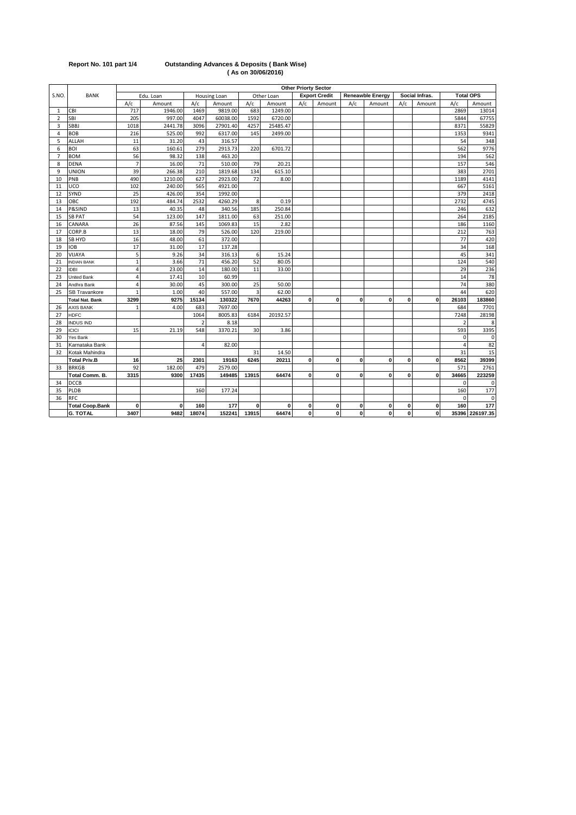| Report No. 101 part 1/4 |  |  |  |  |
|-------------------------|--|--|--|--|
|-------------------------|--|--|--|--|

### **Report No. 101 part 1/4 Outstanding Advances & Deposits ( Bank Wise) ( As on 30/06/2016)**

|                |                        |                |           |                |                     |              |            | <b>Other Priorty Sector</b> |                      |             |                         |              |                |          |                  |
|----------------|------------------------|----------------|-----------|----------------|---------------------|--------------|------------|-----------------------------|----------------------|-------------|-------------------------|--------------|----------------|----------|------------------|
| S.NO.          | <b>BANK</b>            |                | Edu. Loan |                | <b>Housing Loan</b> |              | Other Loan |                             | <b>Export Credit</b> |             | <b>Reneawble Energy</b> |              | Social Infras. |          | <b>Total OPS</b> |
|                |                        | A/c            | Amount    | A/c            | Amount              | A/c          | Amount     | A/c                         | Amount               | A/c         | Amount                  | A/c          | Amount         | A/c      | Amount           |
| 1              | CBI                    | 717            | 1946.00   | 1469           | 9819.00             | 683          | 1249.00    |                             |                      |             |                         |              |                | 2869     | 13014            |
| $\overline{2}$ | SBI                    | 205            | 997.00    | 4047           | 60038.00            | 1592         | 6720.00    |                             |                      |             |                         |              |                | 5844     | 67755            |
| 3              | <b>SBBJ</b>            | 1018           | 2441.78   | 3096           | 27901.40            | 4257         | 25485.47   |                             |                      |             |                         |              |                | 8371     | 55829            |
| 4              | <b>BOB</b>             | 216            | 525.00    | 992            | 6317.00             | 145          | 2499.00    |                             |                      |             |                         |              |                | 1353     | 9341             |
| 5              | ALLAH                  | 11             | 31.20     | 43             | 316.57              |              |            |                             |                      |             |                         |              |                | 54       | 348              |
| 6              | <b>BOI</b>             | 63             | 160.61    | 279            | 2913.73             | 220          | 6701.72    |                             |                      |             |                         |              |                | 562      | 9776             |
| $\overline{7}$ | <b>BOM</b>             | 56             | 98.32     | 138            | 463.20              |              |            |                             |                      |             |                         |              |                | 194      | 562              |
| 8              | <b>DENA</b>            | $\overline{7}$ | 16.00     | 71             | 510.00              | 79           | 20.21      |                             |                      |             |                         |              |                | 157      | 546              |
| 9              | <b>UNION</b>           | 39             | 266.38    | 210            | 1819.68             | 134          | 615.10     |                             |                      |             |                         |              |                | 383      | 2701             |
| 10             | PNB                    | 490            | 1210.00   | 627            | 2923.00             | 72           | 8.00       |                             |                      |             |                         |              |                | 1189     | 4141             |
| 11             | UCO                    | 102            | 240.00    | 565            | 4921.00             |              |            |                             |                      |             |                         |              |                | 667      | 5161             |
| 12             | SYND                   | 25             | 426.00    | 354            | 1992.00             |              |            |                             |                      |             |                         |              |                | 379      | 2418             |
| 13             | ОВС                    | 192            | 484.74    | 2532           | 4260.29             | 8            | 0.19       |                             |                      |             |                         |              |                | 2732     | 4745             |
| 14             | P&SIND                 | 13             | 40.35     | 48             | 340.56              | 185          | 250.84     |                             |                      |             |                         |              |                | 246      | 632              |
| 15             | <b>SB PAT</b>          | 54             | 123.00    | 147            | 1811.00             | 63           | 251.00     |                             |                      |             |                         |              |                | 264      | 2185             |
| 16             | CANARA                 | 26             | 87.56     | 145            | 1069.83             | 15           | 2.82       |                             |                      |             |                         |              |                | 186      | 1160             |
| 17             | CORP.B                 | 13             | 18.00     | 79             | 526.00              | 120          | 219.00     |                             |                      |             |                         |              |                | 212      | 763              |
| 18             | <b>SB HYD</b>          | 16             | 48.00     | 61             | 372.00              |              |            |                             |                      |             |                         |              |                | 77       | 420              |
| 19             | <b>IOB</b>             | 17             | 31.00     | 17             | 137.28              |              |            |                             |                      |             |                         |              |                | 34       | 168              |
| 20             | VIJAYA                 | 5              | 9.26      | 34             | 316.13              | 6            | 15.24      |                             |                      |             |                         |              |                | 45       | 341              |
| 21             | <b>INDIAN BANK</b>     | $\mathbf{1}$   | 3.66      | 71             | 456.20              | 52           | 80.05      |                             |                      |             |                         |              |                | 124      | 540              |
| 22             | <b>IDBI</b>            | 4              | 23.00     | 14             | 180.00              | 11           | 33.00      |                             |                      |             |                         |              |                | 29       | 236              |
| 23             | United Bank            | $\overline{4}$ | 17.41     | 10             | 60.99               |              |            |                             |                      |             |                         |              |                | 14       | 78               |
| 24             | Andhra Bank            | 4              | 30.00     | 45             | 300.00              | 25           | 50.00      |                             |                      |             |                         |              |                | 74       | 380              |
| 25             | SB Travankore          |                | 1.00      | 40             | 557.00              |              | 62.00      |                             |                      |             |                         |              |                | 44       | 620              |
|                | <b>Total Nat. Bank</b> | 3299           | 9275      | 15134          | 130322              | 7670         | 44263      | 0                           | $\mathbf 0$          | 0           | $\mathbf 0$             | $\mathbf 0$  | $\mathbf 0$    | 26103    | 183860           |
| 26             | <b>AXIS BANK</b>       | $\overline{1}$ | 4.00      | 683            | 7697.00             |              |            |                             |                      |             |                         |              |                | 684      | 7701             |
| 27             | <b>HDFC</b>            |                |           | 1064           | 8005.83             | 6184         | 20192.57   |                             |                      |             |                         |              |                | 7248     | 28198            |
| 28             | <b>INDUS IND</b>       |                |           | $\overline{2}$ | 8.18                |              |            |                             |                      |             |                         |              |                | 2        | 8                |
| 29             | <b>ICICI</b>           | 15             | 21.19     | 548            | 3370.21             | 30           | 3.86       |                             |                      |             |                         |              |                | 593      | 3395             |
| 30             | Yes Bank               |                |           |                |                     |              |            |                             |                      |             |                         |              |                | $\Omega$ | $\Omega$         |
| 31             | Karnataka Bank         |                |           | $\overline{4}$ | 82.00               |              |            |                             |                      |             |                         |              |                | 4        | 82               |
| 32             | Kotak Mahindra         |                |           |                |                     | 31           | 14.50      |                             |                      |             |                         |              |                | 31       | 15               |
|                | <b>Total Priv.B</b>    | 16             | 25        | 2301           | 19163               | 6245         | 20211      | 0                           | $\mathbf 0$          | $\mathbf 0$ | $\mathbf{0}$            | 0            | $\mathbf{0}$   | 8562     | 39399            |
| 33             | <b>BRKGB</b>           | 92             | 182.00    | 479            | 2579.00             |              |            |                             |                      |             |                         |              |                | 571      | 2761             |
|                | Total Comm. B.         | 3315           | 9300      | 17435          | 149485              | 13915        | 64474      | 0                           | $\mathbf 0$          | 0           | 0                       | 0            | $\mathbf{0}$   | 34665    | 223259           |
| 34             | <b>DCCB</b>            |                |           |                |                     |              |            |                             |                      |             |                         |              |                | $\Omega$ | 0                |
| 35             | PLDB                   |                |           | 160            | 177.24              |              |            |                             |                      |             |                         |              |                | 160      | 177              |
| 36             | <b>RFC</b>             |                |           |                |                     |              |            |                             |                      |             |                         |              |                | $\Omega$ | $\mathbf 0$      |
|                | <b>Total Coop.Bank</b> | 0              | 0         | 160            | 177                 | $\mathbf{0}$ | 0          | 0                           | $\mathbf 0$          | 0           | $\mathbf 0$             | 0            | $\mathbf 0$    | 160      | 177              |
|                | <b>G. TOTAL</b>        | 3407           | 9482      | 18074          | 152241              | 13915        | 64474      | 0                           | $\mathbf 0$          | $\mathbf 0$ | 0                       | $\mathbf{0}$ | 0              |          | 35396 226197.35  |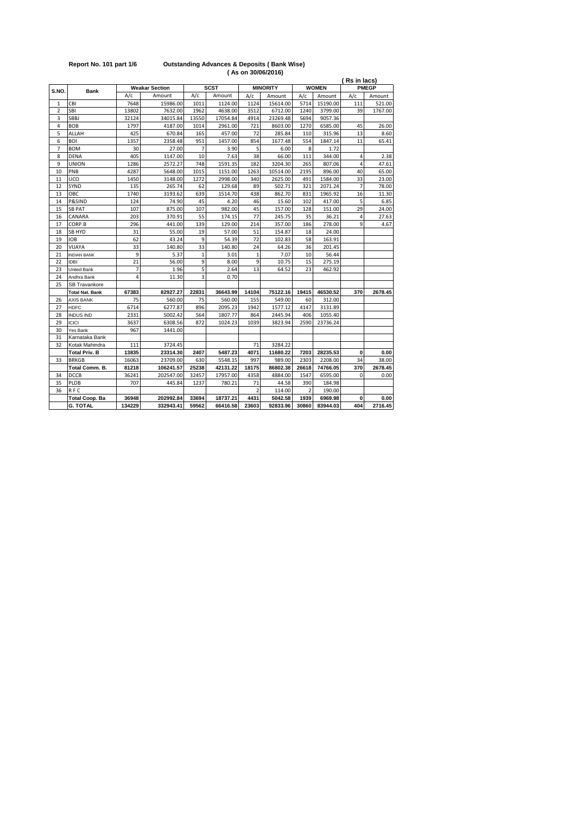| <b>Bank</b>          |                                                                                                                             |                                           |                                                                                                           |                                                 |                                                                                             |                                      |                                                                                                                                         |                                               |                                                                                                                  | <b>PMEGP</b>             |
|----------------------|-----------------------------------------------------------------------------------------------------------------------------|-------------------------------------------|-----------------------------------------------------------------------------------------------------------|-------------------------------------------------|---------------------------------------------------------------------------------------------|--------------------------------------|-----------------------------------------------------------------------------------------------------------------------------------------|-----------------------------------------------|------------------------------------------------------------------------------------------------------------------|--------------------------|
|                      | A/c                                                                                                                         | Amount                                    | A/c                                                                                                       | Amount                                          | A/c                                                                                         | Amount                               | A/c                                                                                                                                     | Amount                                        | A/c                                                                                                              | Amount                   |
| CBI                  | 7648                                                                                                                        | 15986.00                                  | 1011                                                                                                      | 1124.00                                         | 1124                                                                                        | 15614.00                             | 5714                                                                                                                                    | 15190.00                                      | 111                                                                                                              | 521.00                   |
| SBI                  | 13802                                                                                                                       |                                           | 1962                                                                                                      |                                                 | 3512                                                                                        |                                      | 1240                                                                                                                                    |                                               | 39                                                                                                               | 1767.00                  |
| SBBJ                 | 32124                                                                                                                       | 34015.84                                  | 13550                                                                                                     | 17054.84                                        | 4914                                                                                        | 23269.48                             | 5694                                                                                                                                    | 9057.36                                       |                                                                                                                  |                          |
| <b>BOB</b>           | 1797                                                                                                                        | 4187.00                                   | 1014                                                                                                      | 2961.00                                         | 721                                                                                         | 8603.00                              | 1270                                                                                                                                    | 6585.00                                       | 45                                                                                                               | 26.00                    |
| ALLAH                | 425                                                                                                                         | 670.84                                    | 165                                                                                                       | 457.00                                          | 72                                                                                          | 285.84                               | 110                                                                                                                                     | 315.96                                        | 13                                                                                                               | 8.60                     |
| BOI                  | 1357                                                                                                                        | 2358.48                                   | 951                                                                                                       | 1457.00                                         | 854                                                                                         | 1677.48                              | 554                                                                                                                                     | 1847.14                                       | 11                                                                                                               | 65.41                    |
| <b>BOM</b>           | 30                                                                                                                          | 27.00                                     | $\overline{7}$                                                                                            | 3.90                                            | 5                                                                                           | 6.00                                 | 8                                                                                                                                       | 1.72                                          |                                                                                                                  |                          |
| <b>DENA</b>          | 405                                                                                                                         | 1147.00                                   | 10                                                                                                        | 7.63                                            | 38                                                                                          | 66.00                                | 111                                                                                                                                     | 344.00                                        | $\overline{4}$                                                                                                   | 2.38                     |
| UNION                | 1286                                                                                                                        | 2572.27                                   | 748                                                                                                       | 1591.35                                         | 182                                                                                         | 3204.30                              | 265                                                                                                                                     | 807.06                                        | 4                                                                                                                | 47.61                    |
| PNB                  | 4287                                                                                                                        | 5648.00                                   | 1015                                                                                                      | 1151.00                                         | 1263                                                                                        | 10514.00                             | 2195                                                                                                                                    | 896.00                                        | 40                                                                                                               | 65.00                    |
| UCO                  | 1450                                                                                                                        | 3148.00                                   | 1272                                                                                                      | 2998.00                                         | 340                                                                                         | 2625.00                              | 491                                                                                                                                     | 1584.00                                       | 33                                                                                                               | 23.00                    |
| SYND                 | 135                                                                                                                         | 265.74                                    | 62                                                                                                        | 129.68                                          | 89                                                                                          | 502.71                               | 321                                                                                                                                     | 2071.24                                       | $\overline{7}$                                                                                                   | 78.00                    |
| OBC                  | 1740                                                                                                                        | 3193.62                                   | 639                                                                                                       | 1514.70                                         | 438                                                                                         | 862.70                               | 831                                                                                                                                     | 1965.92                                       | 16                                                                                                               | 11.30                    |
| P&SIND               | 124                                                                                                                         | 74.90                                     | 45                                                                                                        | 4.20                                            | 46                                                                                          | 15.60                                | 102                                                                                                                                     | 417.00                                        | 5                                                                                                                | 6.85                     |
| <b>SB PAT</b>        | 107                                                                                                                         | 875.00                                    | 107                                                                                                       | 982.00                                          | 45                                                                                          | 157.00                               | 128                                                                                                                                     | 151.00                                        | 29                                                                                                               | 24.00                    |
| CANARA               | 203                                                                                                                         | 370.91                                    | 55                                                                                                        | 174.15                                          | 77                                                                                          | 245.75                               | 35                                                                                                                                      | 36.21                                         | 4                                                                                                                | 27.63                    |
| CORP.B               | 296                                                                                                                         | 441.00                                    | 139                                                                                                       | 129.00                                          | 214                                                                                         | 357.00                               | 186                                                                                                                                     | 278.00                                        | 9                                                                                                                | 4.67                     |
| SB HYD               | 31                                                                                                                          | 55.00                                     | 19                                                                                                        | 57.00                                           | 51                                                                                          | 154.87                               | 18                                                                                                                                      | 24.00                                         |                                                                                                                  |                          |
| <b>IOB</b>           | 62                                                                                                                          | 43.24                                     | 9                                                                                                         | 54.39                                           | 72                                                                                          | 102.83                               | 58                                                                                                                                      | 163.91                                        |                                                                                                                  |                          |
| VIJAYA               | 33                                                                                                                          | 140.80                                    | 33                                                                                                        | 140.80                                          | 24                                                                                          | 64.26                                | 36                                                                                                                                      | 201.45                                        |                                                                                                                  |                          |
| <b>INDIAN BANK</b>   | 9                                                                                                                           | 5.37                                      | 1                                                                                                         | 3.01                                            | $\mathbf{1}$                                                                                | 7.07                                 | 10                                                                                                                                      | 56.44                                         |                                                                                                                  |                          |
| <b>IDBI</b>          | 21                                                                                                                          | 56.00                                     | 9                                                                                                         | 8.00                                            | 9                                                                                           | 10.75                                | 15                                                                                                                                      | 275.19                                        |                                                                                                                  |                          |
| United Bank          | 7                                                                                                                           | 1.96                                      | 5                                                                                                         | 2.64                                            | 13                                                                                          | 64.52                                | 23                                                                                                                                      | 462.92                                        |                                                                                                                  |                          |
| Andhra Bank          | 4                                                                                                                           | 11.30                                     | 3                                                                                                         | 0.70                                            |                                                                                             |                                      |                                                                                                                                         |                                               |                                                                                                                  |                          |
| <b>SB Travankore</b> |                                                                                                                             |                                           |                                                                                                           |                                                 |                                                                                             |                                      |                                                                                                                                         |                                               |                                                                                                                  |                          |
|                      |                                                                                                                             |                                           |                                                                                                           |                                                 |                                                                                             |                                      |                                                                                                                                         |                                               | 370                                                                                                              | 2678.45                  |
| <b>AXIS BANK</b>     | 75                                                                                                                          | 560.00                                    | 75                                                                                                        | 560.00                                          | 155                                                                                         | 549.00                               | 60                                                                                                                                      | 312.00                                        |                                                                                                                  |                          |
| <b>HDFC</b>          | 6714                                                                                                                        | 6277.87                                   | 896                                                                                                       | 2095.23                                         | 1942                                                                                        | 1577.12                              | 4147                                                                                                                                    | 3131.89                                       |                                                                                                                  |                          |
| <b>INDUS IND</b>     | 2331                                                                                                                        | 5002.42                                   | 564                                                                                                       | 1807.77                                         | 864                                                                                         | 2445.94                              | 406                                                                                                                                     | 1055.40                                       |                                                                                                                  |                          |
| <b>ICICI</b>         | 3637                                                                                                                        | 6308.56                                   | 872                                                                                                       | 1024.23                                         | 1039                                                                                        | 3823.94                              | 2590                                                                                                                                    | 23736.24                                      |                                                                                                                  |                          |
| Yes Bank             | 967                                                                                                                         | 1441.00                                   |                                                                                                           |                                                 |                                                                                             |                                      |                                                                                                                                         |                                               |                                                                                                                  |                          |
| Karnataka Bank       |                                                                                                                             |                                           |                                                                                                           |                                                 |                                                                                             |                                      |                                                                                                                                         |                                               |                                                                                                                  |                          |
| Kotak Mahindra       | 111                                                                                                                         | 3724.45                                   |                                                                                                           |                                                 | 71                                                                                          | 3284.22                              |                                                                                                                                         |                                               |                                                                                                                  |                          |
| <b>Total Priv. B</b> | 13835                                                                                                                       | 23314.30                                  | 2407                                                                                                      | 5487.23                                         | 4071                                                                                        | 11680.22                             | 7203                                                                                                                                    |                                               | $\bf{0}$                                                                                                         | 0.00                     |
|                      |                                                                                                                             |                                           |                                                                                                           |                                                 | 997                                                                                         |                                      |                                                                                                                                         |                                               | 34                                                                                                               | 38.00                    |
|                      |                                                                                                                             |                                           |                                                                                                           |                                                 |                                                                                             |                                      |                                                                                                                                         |                                               |                                                                                                                  | 2678.45                  |
|                      |                                                                                                                             |                                           |                                                                                                           |                                                 |                                                                                             |                                      |                                                                                                                                         |                                               | $\Omega$                                                                                                         | 0.00                     |
|                      | 707                                                                                                                         |                                           |                                                                                                           |                                                 |                                                                                             |                                      |                                                                                                                                         |                                               |                                                                                                                  |                          |
|                      |                                                                                                                             |                                           |                                                                                                           |                                                 | $\overline{a}$                                                                              |                                      | $\overline{a}$                                                                                                                          |                                               |                                                                                                                  |                          |
|                      |                                                                                                                             |                                           |                                                                                                           |                                                 |                                                                                             |                                      |                                                                                                                                         |                                               |                                                                                                                  | 0.00                     |
|                      | 134229                                                                                                                      | 332943.41                                 | 59562                                                                                                     | 66416.58                                        | 23603                                                                                       |                                      | 30860                                                                                                                                   | 83944.03                                      | 404                                                                                                              | 2716.45                  |
|                      | <b>Total Nat. Bank</b><br><b>BRKGB</b><br>Total Comm. B.<br>DCCB<br>PLDB<br>RFC<br><b>Total Coop. Ba</b><br><b>G. TOTAL</b> | 67383<br>16063<br>81218<br>36241<br>36948 | <b>Weakar Section</b><br>7632.00<br>82927.27<br>23709.00<br>106241.57<br>202547.00<br>445.84<br>202992.84 | 22831<br>630<br>25238<br>32457<br>1237<br>33694 | <b>SCST</b><br>4638.00<br>36643.99<br>5548.15<br>42131.22<br>17957.00<br>780.21<br>18737.21 | 14104<br>18175<br>4358<br>71<br>4431 | (AS ON 30/06/2016)<br><b>MINORITY</b><br>6712.00<br>75122.16<br>989.00<br>86802.38<br>4884.00<br>44.58<br>114.00<br>5042.58<br>92833.96 | 19415<br>2303<br>26618<br>1547<br>390<br>1939 | <b>WOMEN</b><br>3799.00<br>46530.52<br>28235.53<br>2208.00<br>74766.05<br>6595.00<br>184.98<br>190.00<br>6969.98 | (Rs in lacs)<br>370<br>0 |

### **Report No. 101 part 1/6 Outstanding Advances & Deposits ( Bank Wise) ( As on 30/06/2016)**